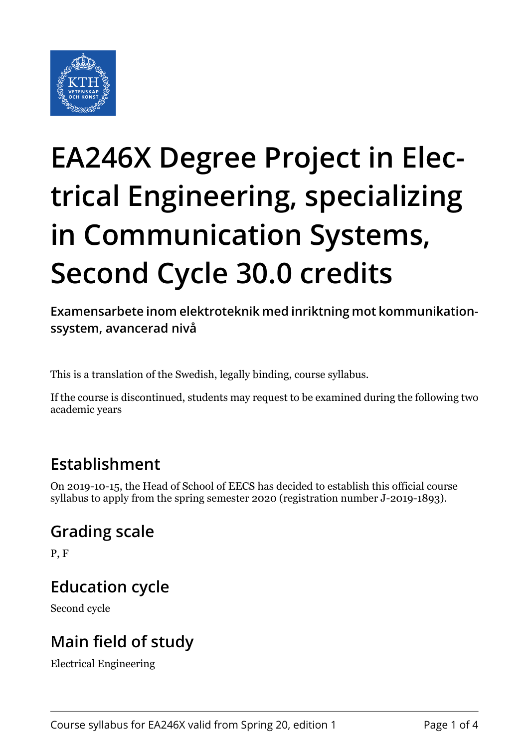

# **EA246X Degree Project in Electrical Engineering, specializing in Communication Systems, Second Cycle 30.0 credits**

**Examensarbete inom elektroteknik med inriktning mot kommunikationssystem, avancerad nivå**

This is a translation of the Swedish, legally binding, course syllabus.

If the course is discontinued, students may request to be examined during the following two academic years

# **Establishment**

On 2019-10-15, the Head of School of EECS has decided to establish this official course syllabus to apply from the spring semester 2020 (registration number J-2019-1893).

# **Grading scale**

P, F

#### **Education cycle**

Second cycle

# **Main field of study**

Electrical Engineering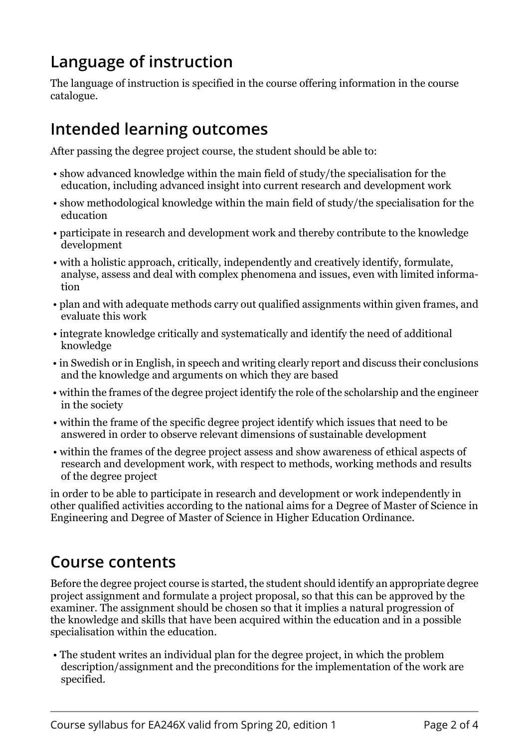# **Language of instruction**

The language of instruction is specified in the course offering information in the course catalogue.

### **Intended learning outcomes**

After passing the degree project course, the student should be able to:

- show advanced knowledge within the main field of study/the specialisation for the education, including advanced insight into current research and development work
- show methodological knowledge within the main field of study/the specialisation for the education
- participate in research and development work and thereby contribute to the knowledge development
- with a holistic approach, critically, independently and creatively identify, formulate, analyse, assess and deal with complex phenomena and issues, even with limited information
- plan and with adequate methods carry out qualified assignments within given frames, and evaluate this work
- integrate knowledge critically and systematically and identify the need of additional knowledge
- in Swedish or in English, in speech and writing clearly report and discuss their conclusions and the knowledge and arguments on which they are based
- within the frames of the degree project identify the role of the scholarship and the engineer in the society
- within the frame of the specific degree project identify which issues that need to be answered in order to observe relevant dimensions of sustainable development
- within the frames of the degree project assess and show awareness of ethical aspects of research and development work, with respect to methods, working methods and results of the degree project

in order to be able to participate in research and development or work independently in other qualified activities according to the national aims for a Degree of Master of Science in Engineering and Degree of Master of Science in Higher Education Ordinance.

#### **Course contents**

Before the degree project course is started, the student should identify an appropriate degree project assignment and formulate a project proposal, so that this can be approved by the examiner. The assignment should be chosen so that it implies a natural progression of the knowledge and skills that have been acquired within the education and in a possible specialisation within the education.

 • The student writes an individual plan for the degree project, in which the problem description/assignment and the preconditions for the implementation of the work are specified.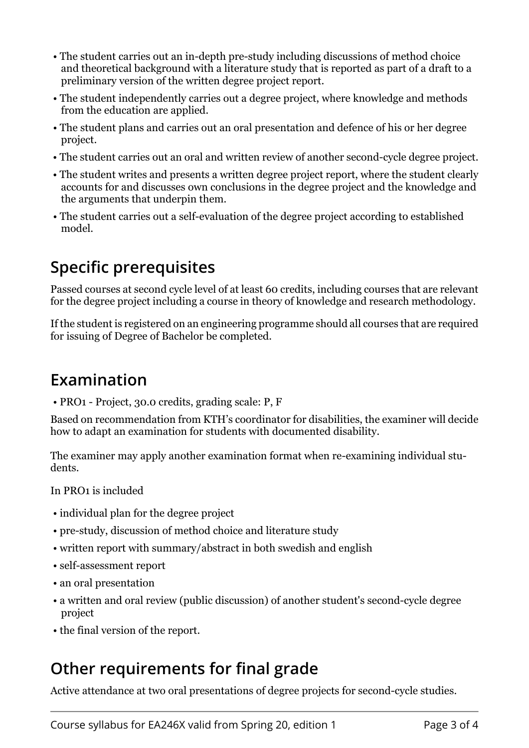- The student carries out an in-depth pre-study including discussions of method choice and theoretical background with a literature study that is reported as part of a draft to a preliminary version of the written degree project report.
- The student independently carries out a degree project, where knowledge and methods from the education are applied.
- The student plans and carries out an oral presentation and defence of his or her degree project.
- The student carries out an oral and written review of another second-cycle degree project.
- The student writes and presents a written degree project report, where the student clearly accounts for and discusses own conclusions in the degree project and the knowledge and the arguments that underpin them.
- The student carries out a self-evaluation of the degree project according to established model.

### **Specific prerequisites**

Passed courses at second cycle level of at least 60 credits, including courses that are relevant for the degree project including a course in theory of knowledge and research methodology.

If the student is registered on an engineering programme should all courses that are required for issuing of Degree of Bachelor be completed.

#### **Examination**

• PRO1 - Project, 30.0 credits, grading scale: P, F

Based on recommendation from KTH's coordinator for disabilities, the examiner will decide how to adapt an examination for students with documented disability.

The examiner may apply another examination format when re-examining individual students.

In PRO1 is included

- individual plan for the degree project
- pre-study, discussion of method choice and literature study
- written report with summary/abstract in both swedish and english
- self-assessment report
- an oral presentation
- a written and oral review (public discussion) of another student's second-cycle degree project
- the final version of the report.

#### **Other requirements for final grade**

Active attendance at two oral presentations of degree projects for second-cycle studies.